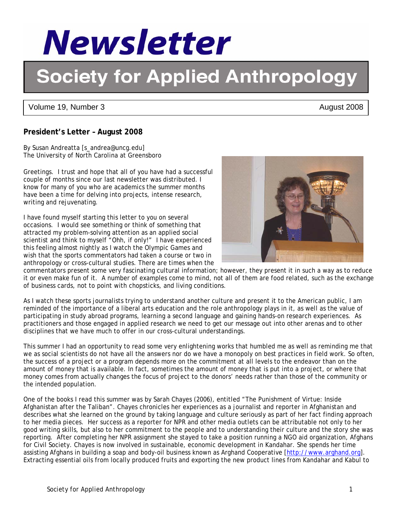

# **Society for Applied Anthropology**

Volume 19, Number 3 August 2008

# **President's Letter – August 2008**

By Susan Andreatta [s\_andrea@uncg.edu] The University of North Carolina at Greensboro

Greetings. I trust and hope that all of you have had a successful couple of months since our last newsletter was distributed. I know for many of you who are academics the summer months have been a time for delving into projects, intense research, writing and rejuvenating.

I have found myself starting this letter to you on several occasions. I would see something or think of something that attracted my problem-solving attention as an applied social scientist and think to myself "Ohh, if only!" I have experienced this feeling almost nightly as I watch the Olympic Games and wish that the sports commentators had taken a course or two in anthropology or cross-cultural studies. There are times when the

commentators present some very fascinating cultural information; however, they present it in such a way as to reduce it or even make fun of it. A number of examples come to mind, not all of them are food related, such as the exchange of business cards, not to point with chopsticks, and living conditions.

As I watch these sports journalists trying to understand another culture and present it to the American public, I am reminded of the importance of a liberal arts education and the role anthropology plays in it, as well as the value of participating in study abroad programs, learning a second language and gaining hands-on research experiences. As practitioners and those engaged in applied research we need to get our message out into other arenas and to other disciplines that we have much to offer in our cross-cultural understandings.

This summer I had an opportunity to read some very enlightening works that humbled me as well as reminding me that we as social scientists do not have all the answers nor do we have a monopoly on best practices in field work. So often, the success of a project or a program depends more on the commitment at all levels to the endeavor than on the amount of money that is available. In fact, sometimes the amount of money that is put into a project, or where that money comes from actually changes the focus of project to the donors' needs rather than those of the community or the intended population.

One of the books I read this summer was by Sarah Chayes (2006), entitled "The Punishment of Virtue: Inside Afghanistan after the Taliban". Chayes chronicles her experiences as a journalist and reporter in Afghanistan and describes what she learned on the ground by taking language and culture seriously as part of her fact finding approach to her media pieces. Her success as a reporter for NPR and other media outlets can be attributable not only to her good writing skills, but also to her commitment to the people and to understanding their culture and the story she was reporting. After completing her NPR assignment she stayed to take a position running a NGO aid organization, Afghans for Civil Society. Chayes is now involved in sustainable, economic development in Kandahar. She spends her time assisting Afghans in building a soap and body-oil business known as Arghand Cooperative [http://www.arghand.org]. Extracting essential oils from locally produced fruits and exporting the new product lines from Kandahar and Kabul to



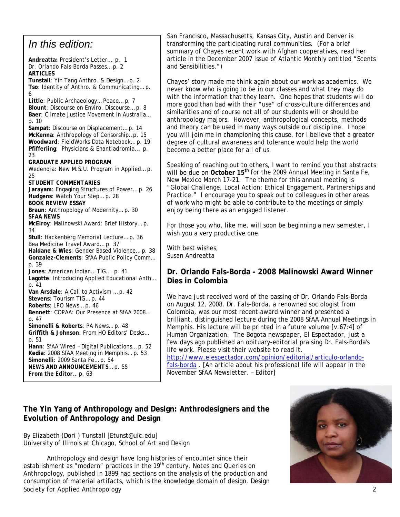## *In this edition:*

**Andreatta:** President's Letter… p. 1 Dr. Orlando Fals-Borda Passes… p. 2 *ARTICLES*  **Tunstall**: Yin Tang Anthro. & Design… p. 2 **Tso**: Identity of Anthro. & Communicating… p. 6 **Little**: Public Archaeology… Peace… p. 7 **Blount**: Discourse on Enviro. Discourse… p. 8 **Baer**: Climate Justice Movement in Australia… p. 10 **Sampat**: Discourse on Displacement… p. 14 **McKenna**: Anthropology of Censorship…p. 15 **Woodward**: FieldWorks Data Notebook… p. 19 **Pfifferling**: Physicians & *Enantiadromia*…. p. 23 *GRADUATE APPLIED PROGRAM*  Wedenoja: New M.S.U. Program in Applied… p. 25 *STUDENT COMMENTARIES*  **Jarayam**: Engaging Structures of Power… p. 26 **Hudgens**: Watch Your Step… p. 28 *BOOK REVIEW ESSAY*  **Braun**: Anthropology of Modernity… p. 30 *SFAA NEWS*  **McElroy**: Malinowski Award: Brief History… p. 34 **Stull**: Hackenberg Memorial Lecture… p. 36 Bea Medicine Travel Award… p. 37 **Haldane & Wies**: Gender Based Violence… p. 38 **Gonzalez-Clements**: SfAA Public Policy Comm… p. 39 **Jones**: American Indian… TIG... p. 41 **Lagotte**: Introducing Applied Educational Anth… p. 41 **Van Arsdale**: A Call to Activism … p. 42 **Stevens**: Tourism TIG… p. 44 **Roberts**: LPO News… p. 46 **Bennett**: COPAA: Our Presence at SfAA 2008… p. 47 **Simonelli & Roberts**: *PA* News… p. 48 **Griffith & Johnson**: From *HO* Editors' Desks… p. 51 **Hann**: SfAA Wired – Digital Publications… p. 52 **Kedia**: 2008 SfAA Meeting in Memphis… p. 53 **Simonelli**: 2009 Santa Fe… p. 54 *NEWS AND ANNOUNCEMENTS*… p. 55 *From the Editor*… p. 63

San Francisco, Massachusetts, Kansas City, Austin and Denver is transforming the participating rural communities. (For a brief summary of Chayes recent work with Afghan cooperatives, read her article in the December 2007 issue of Atlantic Monthly entitled "Scents and Sensibilities.")

Chayes' story made me think again about our work as academics. We never know who is going to be in our classes and what they may do with the information that they learn. One hopes that students will do more good than bad with their "use" of cross-culture differences and similarities and of course not all of our students will or should be anthropology majors. However, anthropological concepts, methods and theory can be used in many ways outside our discipline. I hope you will join me in championing this cause, for I believe that a greater degree of cultural awareness and tolerance would help the world become a better place for all of us.

Speaking of reaching out to others, I want to remind you that abstracts will be due on October 15<sup>th</sup> for the 2009 Annual Meeting in Santa Fe, New Mexico March 17-21. The theme for this annual meeting is "Global Challenge, Local Action: Ethical Engagement, Partnerships and Practice." I encourage you to speak out to colleagues in other areas of work who might be able to contribute to the meetings or simply enjoy being there as an engaged listener.

For those you who, like me, will soon be beginning a new semester, I wish you a very productive one.

With best wishes, Susan Andreatta

#### **Dr. Orlando Fals-Borda - 2008 Malinowski Award Winner Dies in Colombia**

We have just received word of the passing of Dr. Orlando Fals-Borda on August 12, 2008. Dr. Fals-Borda, a renowned sociologist from Colombia, was our most recent award winner and presented a brilliant, distinguished lecture during the 2008 SfAA Annual Meetings in Memphis. His lecture will be printed in a future volume [v.67:4] of *Human Organization*. The Bogota newspaper, *El Espectador*, just a few days ago published an obituary-editorial praising Dr. Fals-Borda's life work. Please visit their website to read it.

http://www.elespectador.com/opinion/editorial/articulo-orlandofals-borda . [An article about his professional life will appear in the November *SfAA Newsletter*. – Editor]

### **The Yin Yang of Anthropology and Design: Anthrodesigners and the Evolution of Anthropology and Design**

By Elizabeth (Dori ) Tunstall [Etunst@uic.edu] University of Illinois at Chicago, School of Art and Design

*Society for Applied Anthropology* 2 Anthropology and design have long histories of encounter since their establishment as "modern" practices in the 19<sup>th</sup> century. *Notes and Queries on Anthropology,* published in 1899 had sections on the analysis of the production and consumption of material artifacts, which is the knowledge domain of design. Design

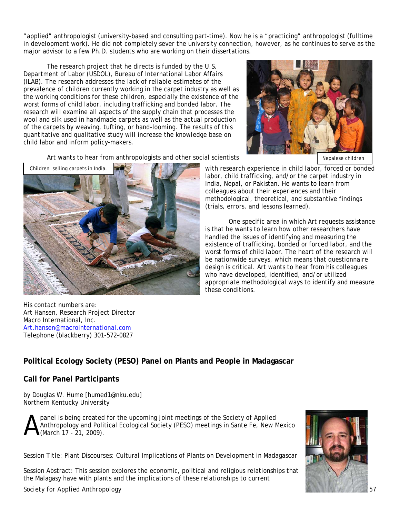"applied" anthropologist (university-based and consulting part-time). Now he is a "practicing" anthropologist (fulltime in development work). He did not completely sever the university connection, however, as he continues to serve as the major advisor to a few Ph.D. students who are working on their dissertations.

The research project that he directs is funded by the U.S. Department of Labor (USDOL), Bureau of International Labor Affairs (ILAB). The research addresses the lack of reliable estimates of the prevalence of children currently working in the carpet industry as well as the working conditions for these children, especially the existence of the worst forms of child labor, including trafficking and bonded labor. The research will examine all aspects of the supply chain that processes the wool and silk used in handmade carpets as well as the actual production of the carpets by weaving, tufting, or hand-looming. The results of this quantitative and qualitative study will increase the knowledge base on child labor and inform policy-makers.



Art wants to hear from anthropologists and other social scientists



with research experience in child labor, forced or bonded labor, child trafficking, and/or the carpet industry in India, Nepal, or Pakistan. He wants to learn from colleagues about their experiences and their methodological, theoretical, and substantive findings (trials, errors, and lessons learned).

One specific area in which Art requests assistance is that he wants to learn how other researchers have handled the issues of identifying and measuring the existence of trafficking, bonded or forced labor, and the worst forms of child labor. The heart of the research will be nationwide surveys, which means that questionnaire design is critical. Art wants to hear from his colleagues who have developed, identified, and/or utilized appropriate methodological ways to identify and measure these conditions.

His contact numbers are: Art Hansen, Research Project Director Macro International, Inc. Art.hansen@macrointernational.com Telephone (blackberry) 301-572-0827

## **Political Ecology Society (PESO) Panel on Plants and People in Madagascar**

#### **Call for Panel Participants**

by Douglas W. Hume [humed1@nku.edu] Northern Kentucky University

panel is being created for the upcoming joint meetings of the Society of Applied Anthropology and Political Ecological Society (PESO) meetings in Sante Fe, New Mexico (March 17 - 21, 2009). A

Session Title: Plant Discourses: Cultural Implications of Plants on Development in Madagascar

Session Abstract: This session explores the economic, political and religious relationships that the Malagasy have with plants and the implications of these relationships to current



*Society for Applied Anthropology* 57